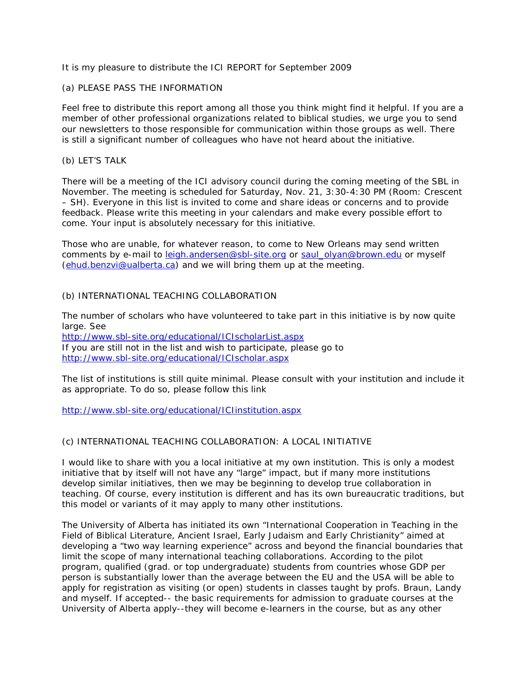It is my pleasure to distribute the ICI REPORT for September 2009

## (a) PLEASE PASS THE INFORMATION

Feel free to distribute this report among all those you think might find it helpful. If you are a member of other professional organizations related to biblical studies, we urge you to send our newsletters to those responsible for communication within those groups as well. There is still a significant number of colleagues who have not heard about the initiative.

### (b) LET'S TALK

There will be a meeting of the ICI advisory council during the coming meeting of the SBL in November. The meeting is scheduled for Saturday, Nov. 21, 3:30-4:30 PM (Room: Crescent – SH). Everyone in this list is invited to come and share ideas or concerns and to provide feedback. Please write this meeting in your calendars and make every possible effort to come. Your input is absolutely necessary for this initiative.

Those who are unable, for whatever reason, to come to New Orleans may send written comments by e-mail to *leigh.andersen@sbl-site.org* or [saul\\_olyan@brown.edu](mailto:saul_olyan@brown.edu) or myself [\(ehud.benzvi@ualberta.ca\)](mailto:ehud.benzvi@ualberta.ca) and we will bring them up at the meeting.

## (b) INTERNATIONAL TEACHING COLLABORATION

The number of scholars who have volunteered to take part in this initiative is by now quite large. See <http://www.sbl-site.org/educational/ICIscholarList.aspx> If you are still not in the list and wish to participate, please go to <http://www.sbl-site.org/educational/ICIscholar.aspx>

The list of institutions is still quite minimal. Please consult with your institution and include it as appropriate. To do so, please follow this link

<http://www.sbl-site.org/educational/ICIinstitution.aspx>

# (c) INTERNATIONAL TEACHING COLLABORATION: A LOCAL INITIATIVE

I would like to share with you a local initiative at my own institution. This is only a modest initiative that by itself will not have any "large" impact, but if many more institutions develop similar initiatives, then we may be beginning to develop true collaboration in teaching. Of course, every institution is different and has its own bureaucratic traditions, but this model or variants of it may apply to many other institutions.

The University of Alberta has initiated its own "International Cooperation in Teaching in the Field of Biblical Literature, Ancient Israel, Early Judaism and Early Christianity" aimed at developing a "two way learning experience" across and beyond the financial boundaries that limit the scope of many international teaching collaborations. According to the pilot program, qualified (grad. or top undergraduate) students from countries whose GDP per person is substantially lower than the average between the EU and the USA will be able to apply for registration as visiting (or open) students in classes taught by profs. Braun, Landy and myself. If accepted-- the basic requirements for admission to graduate courses at the University of Alberta apply--they will become e-learners in the course, but as any other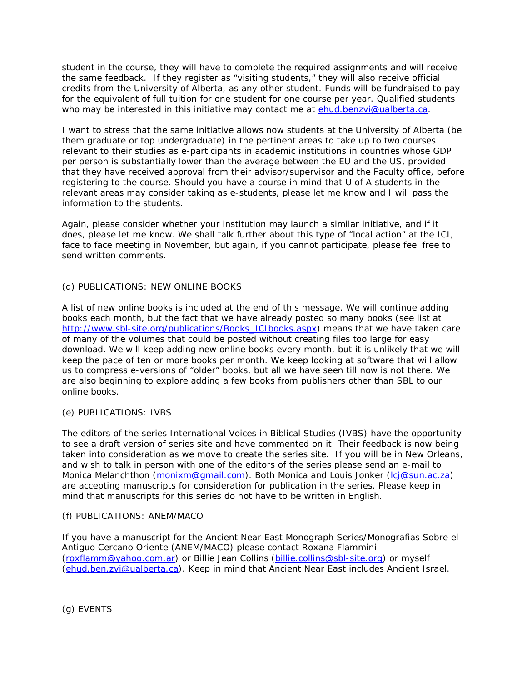student in the course, they will have to complete the required assignments and will receive the same feedback. If they register as "visiting students," they will also receive official credits from the University of Alberta, as any other student. Funds will be fundraised to pay for the equivalent of full tuition for one student for one course per year. Qualified students who may be interested in this initiative may contact me at [ehud.benzvi@ualberta.ca.](mailto:ehud.benzvi@ualberta.ca)

I want to stress that the same initiative allows now students at the University of Alberta (be them graduate or top undergraduate) in the pertinent areas to take up to two courses relevant to their studies as e-participants in academic institutions in countries whose GDP per person is substantially lower than the average between the EU and the US, provided that they have received approval from their advisor/supervisor and the Faculty office, before registering to the course. Should you have a course in mind that U of A students in the relevant areas may consider taking as e-students, please let me know and I will pass the information to the students.

Again, please consider whether your institution may launch a similar initiative, and if it does, please let me know. We shall talk further about this type of "local action" at the ICI, face to face meeting in November, but again, if you cannot participate, please feel free to send written comments.

## (d) PUBLICATIONS: NEW ONLINE BOOKS

A list of new online books is included at the end of this message. We will continue adding books each month, but the fact that we have already posted so many books (see list at [http://www.sbl-site.org/publications/Books\\_ICIbooks.aspx\)](http://www.sbl-site.org/publications/Books_ICIbooks.aspx) means that we have taken care of many of the volumes that could be posted without creating files too large for easy download. We will keep adding new online books every month, but it is unlikely that we will keep the pace of ten or more books per month. We keep looking at software that will allow us to compress e-versions of "older" books, but all we have seen till now is not there. We are also beginning to explore adding a few books from publishers other than SBL to our online books.

#### (e) PUBLICATIONS: IVBS

The editors of the series International Voices in Biblical Studies (IVBS) have the opportunity to see a draft version of series site and have commented on it. Their feedback is now being taken into consideration as we move to create the series site. If you will be in New Orleans, and wish to talk in person with one of the editors of the series please send an e-mail to Monica Melanchthon [\(monixm@gmail.com\)](mailto:monixm@gmail.com). Both Monica and Louis Jonker [\(lcj@sun.ac.za\)](mailto:lcj@sun.ac.za) are accepting manuscripts for consideration for publication in the series. Please keep in mind that manuscripts for this series do not have to be written in English.

#### (f) PUBLICATIONS: ANEM/MACO

If you have a manuscript for the Ancient Near East Monograph Series/Monografias Sobre el Antiguo Cercano Oriente (ANEM/MACO) please contact Roxana Flammini [\(roxflamm@yahoo.com.ar\)](mailto:roxflamm@yahoo.com.ar) or Billie Jean Collins [\(billie.collins@sbl-site.org\)](mailto:billie.collins@sbl-site.org) or myself [\(ehud.ben.zvi@ualberta.ca\)](mailto:ehud.ben.zvi@ualberta.ca). Keep in mind that Ancient Near East includes Ancient Israel.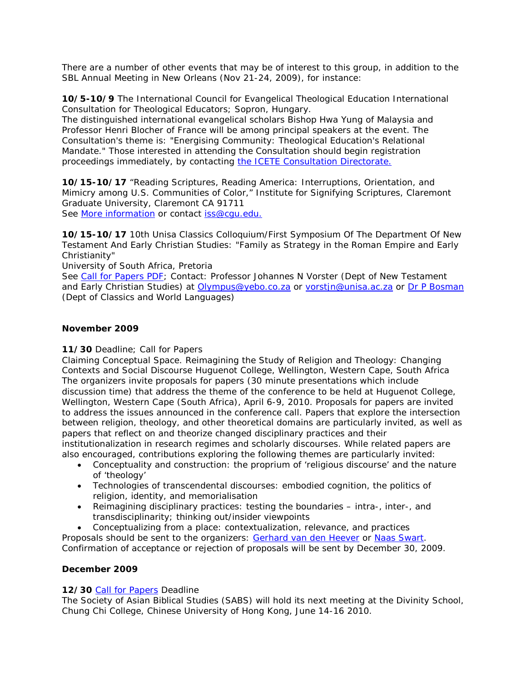There are a number of other events that may be of interest to this group, in addition to the SBL Annual Meeting in New Orleans (Nov 21-24, 2009), for instance:

**10/5-10/9** The International Council for Evangelical Theological Education International Consultation for Theological Educators; Sopron, Hungary.

The distinguished international evangelical scholars Bishop Hwa Yung of Malaysia and Professor Henri Blocher of France will be among principal speakers at the event. The Consultation's theme is: "Energising Community: Theological Education's Relational Mandate." Those interested in attending the Consultation should begin registration proceedings immediately, by contacting [the ICETE Consultation Directorate.](mailto:Consultation2009@icete-edu.org)

**10/15-10/17** "Reading Scriptures, Reading America: Interruptions, Orientation, and Mimicry among U.S. Communities of Color," Institute for Signifying Scriptures, Claremont Graduate University, Claremont CA 91711 See [More information](https://artsml.arts.ualberta.ca/exchweb/bin/redir.asp?URL=http://www.signifyingscriptures.org) or contact [iss@cgu.edu.](mailto:iss@cgu.edu.) 

**10/15-10/17** 10th Unisa Classics Colloquium/First Symposium Of The Department Of New Testament And Early Christian Studies: "Family as Strategy in the Roman Empire and Early Christianity"

University of South Africa, Pretoria

See [Call for Papers PDF;](https://artsml.arts.ualberta.ca/exchweb/bin/redir.asp?URL=http://sbl-site.org/assets/pdfs/2009UnisaFamilyConf.pdf) Contact: Professor Johannes N Vorster (Dept of New Testament and Early Christian Studies) at [Olympus@yebo.co.za](mailto:Olympus@yebo.co.za) or [vorstjn@unisa.ac.za](mailto:vorstjn@unisa.ac.za) or [Dr P Bosman](mailto:bosmapr@unisa.ac.za) (Dept of Classics and World Languages)

## **November 2009**

## **11/30** Deadline; Call for Papers

Claiming Conceptual Space. Reimagining the Study of Religion and Theology: Changing Contexts and Social Discourse Huguenot College, Wellington, Western Cape, South Africa The organizers invite proposals for papers (30 minute presentations which include discussion time) that address the theme of the conference to be held at Huguenot College, Wellington, Western Cape (South Africa), April 6-9, 2010. Proposals for papers are invited to address the issues announced in the conference call. Papers that explore the intersection between religion, theology, and other theoretical domains are particularly invited, as well as papers that reflect on and theorize changed disciplinary practices and their institutionalization in research regimes and scholarly discourses. While related papers are also encouraged, contributions exploring the following themes are particularly invited:

- Conceptuality and construction: the proprium of 'religious discourse' and the nature of 'theology'
- Technologies of transcendental discourses: embodied cognition, the politics of religion, identity, and memorialisation
- Reimagining disciplinary practices: testing the boundaries intra-, inter-, and transdisciplinarity; thinking out/insider viewpoints

• Conceptualizing from a place: contextualization, relevance, and practices Proposals should be sent to the organizers: [Gerhard van den Heever](mailto:vdheega@unisa.ac.za) or [Naas Swart.](mailto:iswart@sun.ac.za) Confirmation of acceptance or rejection of proposals will be sent by December 30, 2009.

## **December 2009**

## **12/30** [Call for Papers](https://artsml.arts.ualberta.ca/exchweb/bin/redir.asp?URL=http://sbl-site.org/assets/pdfs/SABS10Call.pdf) Deadline

The Society of Asian Biblical Studies (SABS) will hold its next meeting at the Divinity School, Chung Chi College, Chinese University of Hong Kong, June 14-16 2010.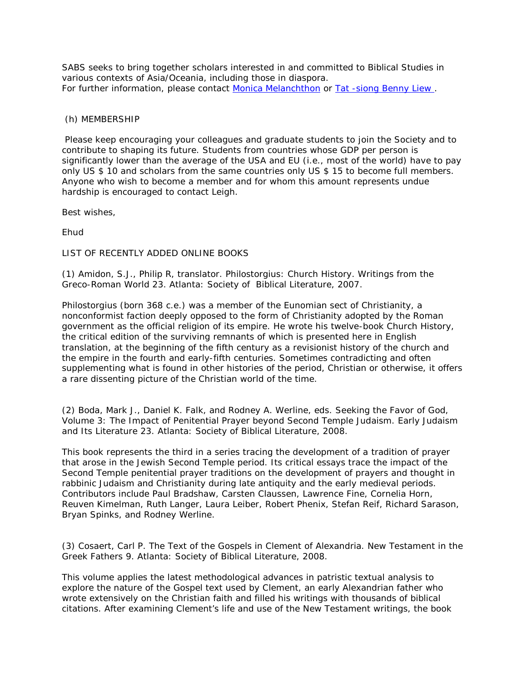SABS seeks to bring together scholars interested in and committed to Biblical Studies in various contexts of Asia/Oceania, including those in diaspora. For further information, please contact [Monica Melanchthon](mailto:styofabs@gmail.com) or [Tat -siong Benny Liew .](mailto:bliew@psr.edu)

## (h) MEMBERSHIP

Please keep encouraging your colleagues and graduate students to join the Society and to contribute to shaping its future. Students from countries whose GDP per person is significantly lower than the average of the USA and EU (i.e., most of the world) have to pay only US \$ 10 and scholars from the same countries only US \$ 15 to become full members. Anyone who wish to become a member and for whom this amount represents undue hardship is encouraged to contact Leigh.

Best wishes,

Ehud

LIST OF RECENTLY ADDED ONLINE BOOKS

(1) Amidon, S.J., Philip R, translator. *Philostorgius:* Church History. Writings from the Greco-Roman World 23. Atlanta: Society of Biblical Literature, 2007.

Philostorgius (born 368 c.e.) was a member of the Eunomian sect of Christianity, a nonconformist faction deeply opposed to the form of Christianity adopted by the Roman government as the official religion of its empire. He wrote his twelve-book *Church History*, the critical edition of the surviving remnants of which is presented here in English translation, at the beginning of the fifth century as a revisionist history of the church and the empire in the fourth and early-fifth centuries. Sometimes contradicting and often supplementing what is found in other histories of the period, Christian or otherwise, it offers a rare dissenting picture of the Christian world of the time.

(2) Boda, Mark J., Daniel K. Falk, and Rodney A. Werline, eds. *Seeking the Favor of God,*  Volume 3: The Impact of Penitential Prayer beyond Second Temple Judaism. Early Judaism and Its Literature 23. Atlanta: Society of Biblical Literature, 2008.

This book represents the third in a series tracing the development of a tradition of prayer that arose in the Jewish Second Temple period. Its critical essays trace the impact of the Second Temple penitential prayer traditions on the development of prayers and thought in rabbinic Judaism and Christianity during late antiquity and the early medieval periods. Contributors include Paul Bradshaw, Carsten Claussen, Lawrence Fine, Cornelia Horn, Reuven Kimelman, Ruth Langer, Laura Leiber, Robert Phenix, Stefan Reif, Richard Sarason, Bryan Spinks, and Rodney Werline.

(3) Cosaert, Carl P. *The Text of the Gospels in Clement of Alexandria.* New Testament in the Greek Fathers 9. Atlanta: Society of Biblical Literature, 2008.

This volume applies the latest methodological advances in patristic textual analysis to explore the nature of the Gospel text used by Clement, an early Alexandrian father who wrote extensively on the Christian faith and filled his writings with thousands of biblical citations. After examining Clement's life and use of the New Testament writings, the book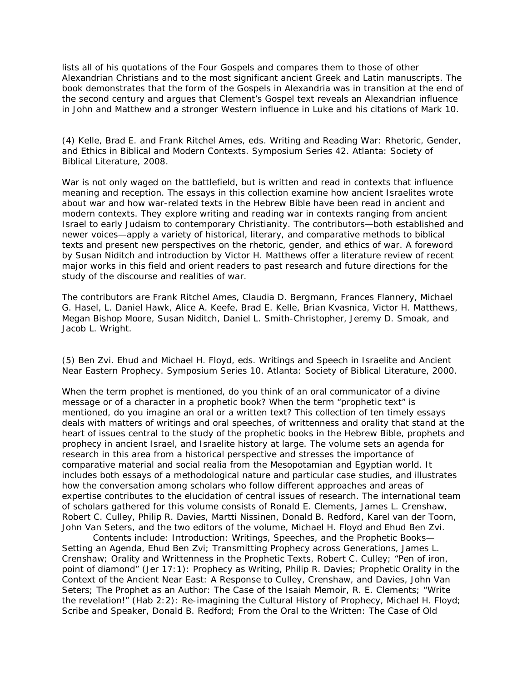lists all of his quotations of the Four Gospels and compares them to those of other Alexandrian Christians and to the most significant ancient Greek and Latin manuscripts. The book demonstrates that the form of the Gospels in Alexandria was in transition at the end of the second century and argues that Clement's Gospel text reveals an Alexandrian influence in John and Matthew and a stronger Western influence in Luke and his citations of Mark 10.

(4) Kelle, Brad E. and Frank Ritchel Ames, eds. *Writing and Reading War: Rhetoric, Gender, and Ethics in Biblical and Modern Contexts.* Symposium Series 42. Atlanta: Society of Biblical Literature, 2008.

War is not only waged on the battlefield, but is written and read in contexts that influence meaning and reception. The essays in this collection examine how ancient Israelites wrote about war and how war-related texts in the Hebrew Bible have been read in ancient and modern contexts. They explore writing and reading war in contexts ranging from ancient Israel to early Judaism to contemporary Christianity. The contributors—both established and newer voices—apply a variety of historical, literary, and comparative methods to biblical texts and present new perspectives on the rhetoric, gender, and ethics of war. A foreword by Susan Niditch and introduction by Victor H. Matthews offer a literature review of recent major works in this field and orient readers to past research and future directions for the study of the discourse and realities of war.

The contributors are Frank Ritchel Ames, Claudia D. Bergmann, Frances Flannery, Michael G. Hasel, L. Daniel Hawk, Alice A. Keefe, Brad E. Kelle, Brian Kvasnica, Victor H. Matthews, Megan Bishop Moore, Susan Niditch, Daniel L. Smith-Christopher, Jeremy D. Smoak, and Jacob L. Wright.

(5) Ben Zvi. Ehud and Michael H. Floyd, eds. *Writings and Speech in Israelite and Ancient Near Eastern Prophecy.* Symposium Series 10. Atlanta: Society of Biblical Literature, 2000.

When the term prophet is mentioned, do you think of an oral communicator of a divine message or of a character in a prophetic book? When the term "prophetic text" is mentioned, do you imagine an oral or a written text? This collection of ten timely essays deals with matters of writings and oral speeches, of writtenness and orality that stand at the heart of issues central to the study of the prophetic books in the Hebrew Bible, prophets and prophecy in ancient Israel, and Israelite history at large. The volume sets an agenda for research in this area from a historical perspective and stresses the importance of comparative material and social realia from the Mesopotamian and Egyptian world. It includes both essays of a methodological nature and particular case studies, and illustrates how the conversation among scholars who follow different approaches and areas of expertise contributes to the elucidation of central issues of research. The international team of scholars gathered for this volume consists of Ronald E. Clements, James L. Crenshaw, Robert C. Culley, Philip R. Davies, Martti Nissinen, Donald B. Redford, Karel van der Toorn, John Van Seters, and the two editors of the volume, Michael H. Floyd and Ehud Ben Zvi.

Contents include: *Introduction: Writings, Speeches, and the Prophetic Books— Setting an Agenda*, Ehud Ben Zvi; *Transmitting Prophecy across Generations*, James L. Crenshaw; *Orality and Writtenness in the Prophetic Texts*, Robert C. Culley; *"Pen of iron, point of diamond" (Jer 17:1): Prophecy as Writing*, Philip R. Davies; *Prophetic Orality in the Context of the Ancient Near East: A Response to Culley, Crenshaw, and Davies*, John Van Seters; *The Prophet as an Author: The Case of the Isaiah Memoir*, R. E. Clements; *"Write the revelation!" (Hab 2:2): Re-imagining the Cultural History of Prophecy*, Michael H. Floyd; *Scribe and Speaker*, Donald B. Redford; *From the Oral to the Written: The Case of Old*